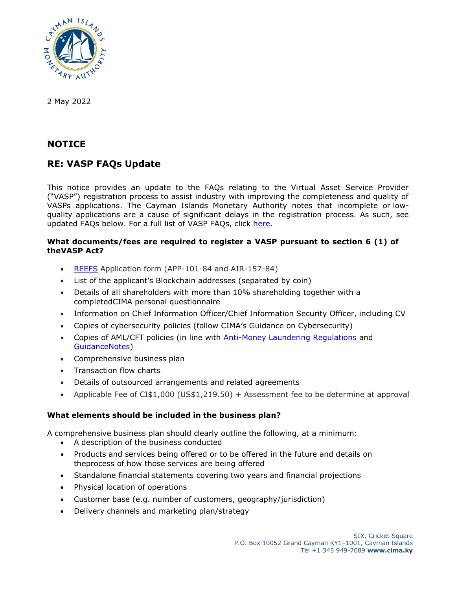

2 May 2022

## **NOTICE**

# **RE: VASP FAQs Update**

This notice provides an update to the FAQs relating to the Virtual Asset Service Provider ("VASP") registration process to assist industry with improving the completeness and quality of VASPs applications. The Cayman Islands Monetary Authority notes that incomplete or lowquality applications are a cause of significant delays in the registration process. As such, see updated FAQs below. For a full list of VASP FAQs, click [here.](https://www.cima.ky/vasp-faq)

## **What documents/fees are required to register a VASP [pursuant](https://www.cima.ky/investment-funds-faqs#collapseOne0011) to section 6 (1) of [theVASP Act?](https://www.cima.ky/investment-funds-faqs#collapseOne0011)**

- [REEFS](https://www.cima.ky/reefs-faq) Application form (APP-101-84 and AIR-157-84)
- List of the applicant's Blockchain addresses (separated by coin)
- Details of all shareholders with more than 10% shareholding together with a completedCIMA personal questionnaire
- Information on Chief Information Officer/Chief Information Security Officer, including CV
- Copies of cybersecurity policies (follow CIMA's Guidance on Cybersecurity)
- Copies of AML/CFT policies (in line with [Anti-Money Laundering Regulations](https://www.cima.ky/acts-and-regulations) and [GuidanceNotes\)](https://www.cima.ky/guidance-notes)
- Comprehensive business plan
- Transaction flow charts
- Details of outsourced arrangements and related agreements
- Applicable Fee of CI\$1,000 (US\$1,219.50) + Assessment fee to be determine at approval

## **What elements should be included in the business plan?**

A comprehensive business plan should clearly outline the following, at a minimum:

- A description of the business conducted
- Products and services being offered or to be offered in the future and details on theprocess of how those services are being offered
- Standalone financial statements covering two years and financial projections
- Physical location of operations
- Customer base (e.g. number of customers, geography/jurisdiction)
- Delivery channels and marketing plan/strategy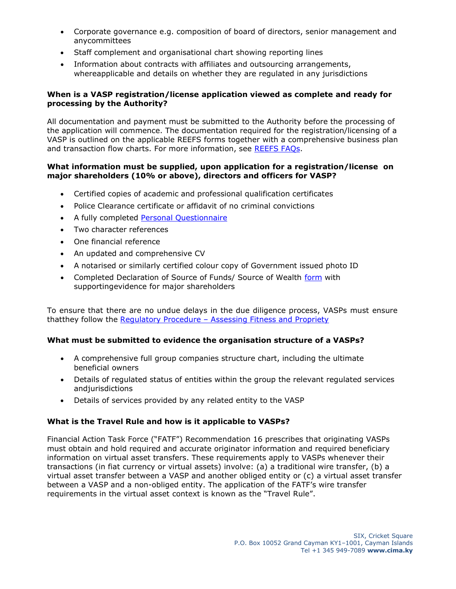- Corporate governance e.g. composition of board of directors, senior management and anycommittees
- Staff complement and organisational chart showing reporting lines
- Information about contracts with affiliates and outsourcing arrangements, whereapplicable and details on whether they are regulated in any jurisdictions

## **When is a VASP [registration/license](https://www.cima.ky/investment-funds-faqs#collapseOne0013) application viewed as complete and ready for [processing](https://www.cima.ky/investment-funds-faqs#collapseOne0013) by the Authority?**

All documentation and payment must be submitted to the Authority before the processing of the application will commence. The documentation required for the registration/licensing of a VASP is outlined on the applicable REEFS forms together with a comprehensive business plan and transaction flow charts. For more information, see [REEFS](https://www.cima.ky/reefs-faq) FAQs.

#### **What information must be supplied, upon application for a [registration/license](https://www.cima.ky/investment-funds-faqs#collapseOne07119) on major shareholders (10% or above), [directors and](https://www.cima.ky/investment-funds-faqs#collapseOne07119) officers for VASP?**

- Certified copies of academic and professional qualification certificates
- Police Clearance certificate or affidavit of no criminal convictions
- A fully completed Personal [Questionnaire](https://www.cima.ky/virtual-asset-service-providers-regulatory-measures)
- Two character references
- One financial reference
- An updated and comprehensive CV
- A notarised or similarly certified colour copy of Government issued photo ID
- Completed Declaration of Source of Funds/ Source of Wealth [form](https://www.cima.ky/virtual-asset-service-providers-regulatory-measures) with supportingevidence for major shareholders

To ensure that there are no undue delays in the due diligence process, VASPs must ensure thatthey follow the Regulatory Procedure - Assessing Fitness [and Propriety](https://www.cima.ky/virtual-asset-service-providers-regulatory-measures)

#### **What must be submitted to evidence the organisation structure of a VASPs?**

- A comprehensive full group companies structure chart, including the ultimate beneficial owners
- Details of regulated status of entities within the group the relevant regulated services andjurisdictions
- Details of services provided by any related entity to the VASP

## **What is the Travel Rule and how is it applicable to VASPs?**

Financial Action Task Force ("FATF") Recommendation 16 prescribes that originating VASPs must obtain and hold required and accurate originator information and required beneficiary information on virtual asset transfers. These requirements apply to VASPs whenever their transactions (in fiat currency or virtual assets) involve: (a) a traditional wire transfer, (b) a virtual asset transfer between a VASP and another obliged entity or (c) a virtual asset transfer between a VASP and a non-obliged entity. The application of the FATF's wire transfer requirements in the virtual asset context is known as the "Travel Rule".